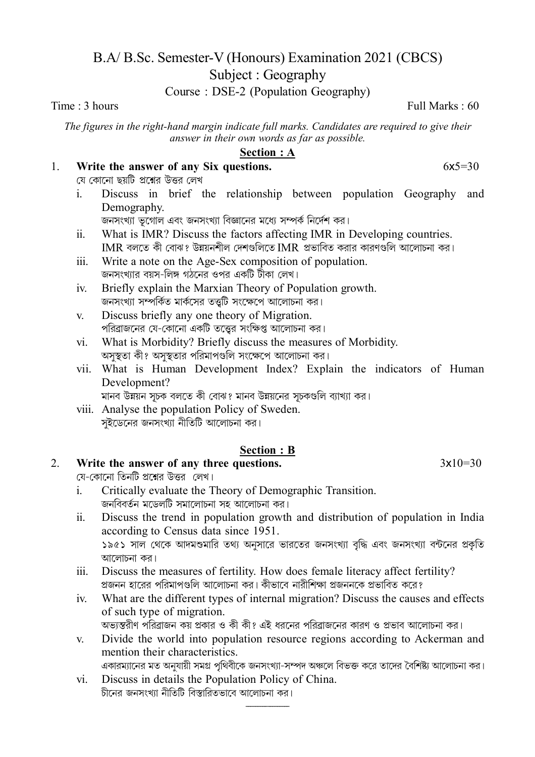# B.A/B.Sc. Semester-V (Honours) Examination 2021 (CBCS)

Subject: Geography

Course: DSE-2 (Population Geography)

Time :  $3 \text{ hours}$ 

The figures in the right-hand margin indicate full marks. Candidates are required to give their answer in their own words as far as possible.

# **Section : A**

### Write the answer of any Six questions.  $1<sup>1</sup>$

যে কোনো ছয়টি প্রশ্নের উত্তর লেখ

Discuss in brief the relationship between population Geography and  $\mathbf{i}$ Demography.

জনসংখ্যা ভূগোল এবং জনসংখ্যা বিজ্ঞানের মধ্যে সম্পর্ক নির্দেশ কর।

- What is IMR? Discuss the factors affecting IMR in Developing countries.  $\ddot{\mathbf{i}}$ .  $IMR$  বলতে কী বোঝ? উন্নয়নশীল দেশগুলিতে IMR প্রভাবিত করার কারণগুলি আলোচনা কর।
- Write a note on the Age-Sex composition of population.  $\dddot{\mathbf{m}}$ . জনসংখ্যার বয়স-লিঙ্গ গঠনের ওপর একটি টীকা লেখ।
- Briefly explain the Marxian Theory of Population growth.  $iv$ জনসংখ্যা সম্পর্কিত মার্কসের ততটি সংক্ষেপে আলোচনা কর।
- Discuss briefly any one theory of Migration.  $V_{\rm c}$ পরিব্রাজনের যে-কোনো একটি তত্ত্বের সংক্ষিপ্ত আলোচনা কর।
- What is Morbidity? Briefly discuss the measures of Morbidity.  $\overline{\mathbf{vi}}$ . অসুস্থতা কী? অসুস্থতার পরিমাপগুলি সংক্ষেপে আলোচনা কর।
- vii. What is Human Development Index? Explain the indicators of Human Development?

মানব উন্নয়ন সূচক বলতে কী বোঝ? মানব উন্নয়নের সূচকগুলি ব্যাখ্যা কর।

viii. Analyse the population Policy of Sweden. সইডেনের জনসংখ্যা নীতিটি আলোচনা কর।

### **Section : B**

### Write the answer of any three questions.  $2<sub>1</sub>$

যে-কোনো তিনটি প্রশ্নের উত্তর লেখ।

- Critically evaluate the Theory of Demographic Transition.  $\mathbf{i}$ জনবিবর্তন মডেলটি সমালোচনা সহ আলোচনা কর।
- Discuss the trend in population growth and distribution of population in India  $\ddot{\mathbf{i}}$ according to Census data since 1951. ১৯৫১ সাল থেকে আদমশুমারি তথ্য অনুসারে ভারতের জনসংখ্যা বৃদ্ধি এবং জনসংখ্যা বন্টনের প্রকৃতি আলোচনা কব।
- Discuss the measures of fertility. How does female literacy affect fertility?  $\dddot{\mathbf{m}}$ প্রজনন হারের পরিমাপগুলি আলোচনা কর। কীভাবে নারীশিক্ষা প্রজননকে প্রভাবিত করে?
- What are the different types of internal migration? Discuss the causes and effects  $iv$ of such type of migration. অভান্তরীণ পরিব্রাজন কয় প্রকার ও কী কী? এই ধরনের পরিব্রাজনের কারণ ও প্রভাব আলোচনা কর।
- Divide the world into population resource regions according to Ackerman and  $\mathbf{V}$ mention their characteristics.

একারম্যানের মত অনযায়ী সমগ্র পথিবীকে জনসংখ্যা-সম্পদ অঞ্চলে বিভক্ত করে তাদের বৈশিষ্ট্য আলোচনা কর।

Discuss in details the Population Policy of China.  $\overline{\mathbf{v}}$ চীনের জনসংখ্যা নীতিটি বিস্তারিতভাবে আলোচনা কর।

 $6x5=30$ 

Full Marks :  $60$ 

 $3x10=30$